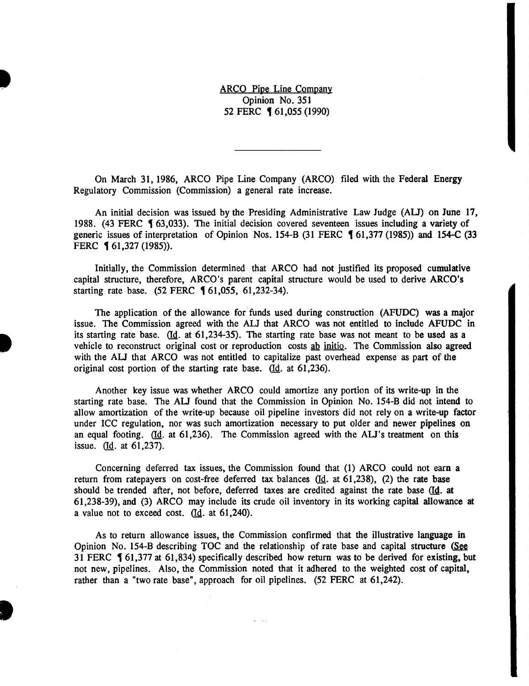ARCO Pipe Line Company Opinion No. 351 52 FERC **[61,055 (1990)** 

On March 31, 1986, ARCO Pipe Line Company (ARCO) filed with the Federal Energy Regulatory Commission (Commission) a general rate increase.

An initial decision was issued by the Presiding Administrative Law Judge (AU) on June 17, 1988. (43 FERC  $\blacklozenge$  63,033). The initial decision covered seventeen issues including a variety of generic issues of interpretation of Opinion Nos. 154-B (31 FERC  $\lbrace 61,377 \; (1985) \rbrace$  and 154-C (33 FERC **1** 61,327 (1985)).

Initially, the Commission determined that ARCO had not justified its proposed cumulative capital structure, therefore, ARCO's parent capital structure would be used to derive ARCO's starting rate base.  $(52 \text{ FERC } 61,055, 61,232-34)$ .

The application of the allowance for funds used during construction (AFUDC) was a major issue. The Commission agreed with the ALJ that ARCO was not entitled to include AFUDC in its starting rate base.  $(d_i$  at 61,234-35). The starting rate base was not meant to be used as a vehicle to reconstruct original cost or reproduction costs ab initio. The Commission also agreed with the AU that ARCO was not entitled to capitalize past overhead expense as part of the original cost portion of the starting rate base.  $(d. at 61,236)$ .

Another key issue was whether ARCO could amortize any portion of its write-up in the starting rate base. The AU found that the Commission in Opinion No. 154-B did not intend to allow amortization of the write-up because oil pipeline investors did not rely on a write-up factor under ICC regulation, nor was such amortization necessary to put older and newer pipelines on an equal footing. (Id. at 61,236). The Commission agreed with the ALJ's treatment on this issue. (Id. at 61,237).

Concerning deferred tax issues, the Commission found that (1) ARCO could not earn a return from ratepayers on cost-free deferred tax balances  $(d_d, at 61,238)$ , (2) the rate base should be trended after, not before, deferred taxes are credited against the rate base (Id. at 61,238-39), and (3) ARCO may include its crude oil inventory in its working capital allowance at a value not to exceed cost.  $(d. at 61,240)$ .

As to return allowance issues, the Commission confirmed that the illustrative language in Opinion No. 154-B describing TOC and the relationship of rate base and capital structure (See 31 FERC  $\blacklozenge$  61,377 at 61,834) specifically described how return was to be derived for existing, but not new, pipelines. Also, the Commission noted that it adhered to the weighted cost of capital, rather than a "two rate base", approach for oil pipelines. (52 FERC at 61,242).

D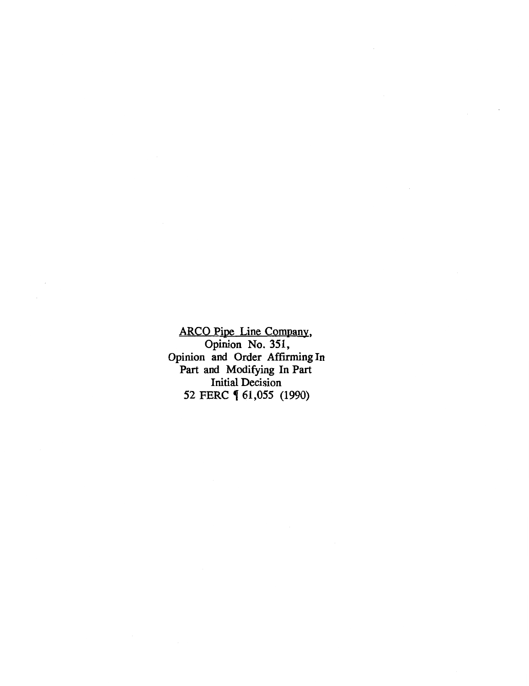ARCO Pipe Line Company, Opinion No. 351, Opinion and Order Affirming In Part and Modifying In Part Initial Decision 52 FERC **(61,055** (1990)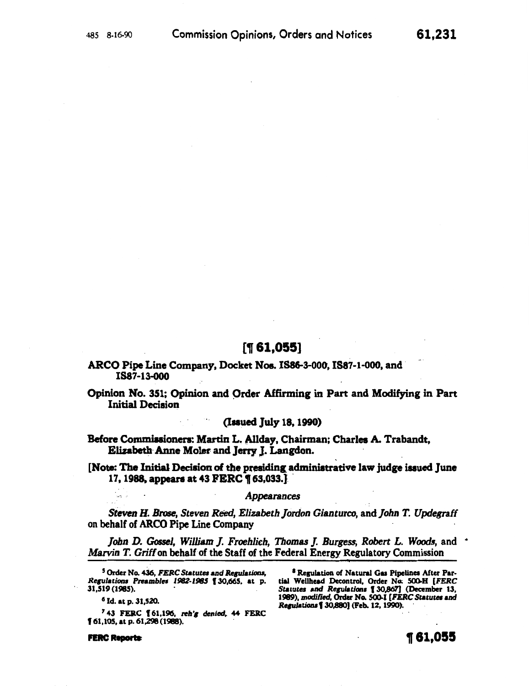# $[$ [1,055]

ARCO Pipe Line Company, Docket Nos. 1886-3-000, IS87-1-000, and. 1887-13-ooo

Opinion No. 351; Opinion and Order Affirming in Part and Modifying in Part Initial Decision

(Issued July 18, 1990)

Before Commissioners: Martin L. Allday, Chairman; Charles A. Trabandt, Elizabeth· Anne Moler and Jerry J. Langdon.

[Note: The Initial Decision of the presiding administrative law judge issued June 17, 1988, appears at 43 FERC ¶ 63,033.

#### *Appearances*

*Steven B. Brose, Steven Reed, Elizabeth Jordon Gianturco,* and *John* T. *Updegraff*  on behalf of ARCO Pipe Line Company

*John D. Gossel, William J. Froehlich, Thomas J. Burgess, Robert L. Woods,* and  $\hat{\ }$ *Marvin T. Griff* on behalf of the Staff of the Federal Energy Regulatory Commission

<sup>5</sup> Order No. 436, *FERC Statutes and Regulations*, *Re61Jlacion• Prambla 1982-1985* f 30,665, at p. 31,519 (1985). .

6 Id. at p. 31,520.

ice in

<sup>7</sup> 43 FERC 161,196, reh'g denied, 44 FERC I 61,105, at p. 61,298 (1988).

**FERC Reports** 

<sup>8</sup> Regulation of Natural Gas Pipelines After Partial Wellhead Decontrol, Order No. 500-H [FERC Statutes and *Regulations* [30,867] (December 13, 1989), *modified,* Order No. SOO.I (FERC *Statutes* and *Rquladolu* f 30,880) (Feb. 12, 1990). ·

61,231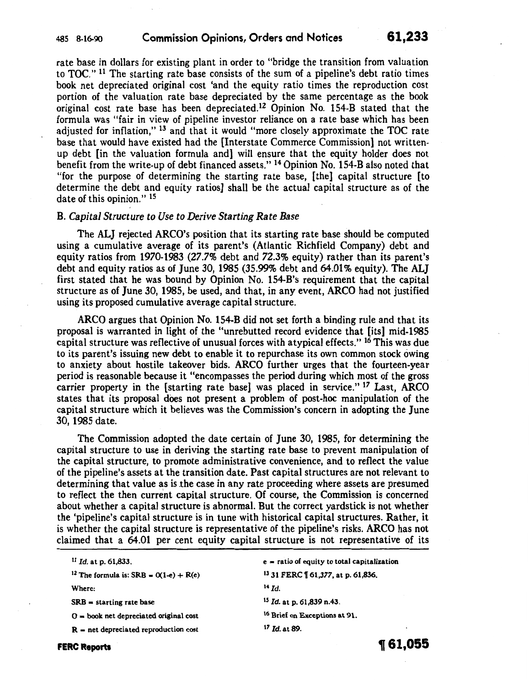rate base in dollars for existing plant in order to "bridge the transition from valuation to TOC." <sup>11</sup> The starting rate base consists of the sum of a pipeline's debt ratio times book net depreciated original cost 'and the equity ratio times the reproduction cost portion of the valuation rate base depreciated by the same percentage as the book original cost rate base has been depreciated.<sup>12</sup> Opinion No. 154-B stated that the formula was "fair in view of pipeline investor reliance on a rate base which has been adjusted for inflation," 13 and that it would "more closely approximate the TOC rate base that would have existed had the [Interstate Commerce Commission) not writtenup debt [in the valuation formula and) will ensure that the equity holder does not benefit from the write-up of debt financed assets." 14 Opinion No. 154-B also noted that "for the purpose of determining the starting rate base, [the) capital structure [to determine the debt and equity ratios] shall be the actual capital structure as of the date of this opinion." 15

#### B. *Capital Structure to Use to Derive Starting Rate Base*

The ALJ rejected ARCO's position that its starting rate base should be computed using a cumulative average of its parent's (Atlantic Richfield Company) debt and equity ratios from 1970-1983 (27.7% debt and 72.3% equity) rather than its parent's debt and equity ratios as of June 30, 1985 (35.99% debt and 64.01% equity). The ALJ first stated that he was bound by Opinion No. 154-B's requirement that the capital structure as of June 30, 1985, be used, and that, in any event, ARCO had not justified using its proposed cumulative average capital structure.

ARCO argues that Opinion No. 154-B did not set forth a binding rule and that its proposal is warranted in light of the "unrebutted record evidence that [its] mid-1985 capital structure was reflective of unusual forces with atypical effects." 16 This was due to its parent's issuing new debt to enable it to repurchase its own common stock owing to anxiety about hostile takeover bids. ARCO further urges that the fourteen-year period is reasonable because it "encompasses the period during which most of the gross carrier property in the [starting rate base] was placed in service."<sup>17</sup> Last, ARCO states that its proposal does not present a problem of post-hoc manipulation of the capital structure which it believes was the Commission's concern in adopting the June 30, 1985 date.

The Commission adopted the date certain of June 30, 1985, for determining the capital structure to use in deriving the starting rate base to prevent manipulation of the capital structure, to promote administrative convenience, and to reflect the value of the pipeline's assets at the transition date. Past capital structures are not relevant to determining that value as is the case in any rate proceeding where assets are presumed to reflect the then current capital structure. Of course, the Commission is concerned about whether a capital structure is abnormal. But the correct yardstick is not whether the 'pipeline's capital structure is in tune with historical capital structures. Rather, it is whether the capital structure is representative of the pipeline's risks. ARCO has not claimed that a 64.01 per cent equity capital structure is not representative of its

<sup>11</sup>*Id.* at p. 61,833.

<sup>12</sup> The formula is: SRB =  $O(1-e) + R(e)$ 

Where:

 $SRB = starting rate base$ 

 $0 =$  book net depreciated original cost

 $R =$  net depreciated reproduction cost

e - ratio of equity to total capitalization 13 31 FERC 161,377, at p. 61,836. 14 *Id.*  IS *Id.* at p. 61,839 n.43. 16 Brief on Exceptions at 91.

<sup>17</sup>*Id.* at89.

**FERC Reports** 

**1r 61,055**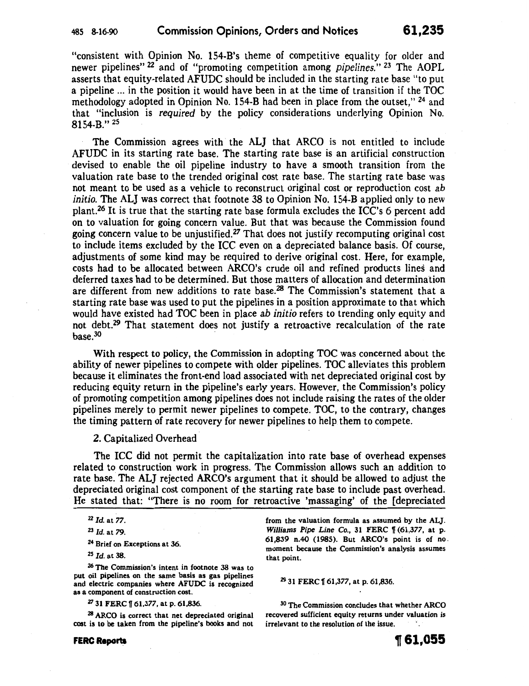"consistent with Opinion No. 154-B's theme of competitive equality for older and newer pipelines" 22 and of "promoting competition among *pipelines."* 23 The AOPL asserts that equity-related AFUDC should be included in the starting rate base "to put a pipeline ... in the position it would have been in at the time of transition if the TOC methodology adopted in Opinion No. 154-B had been in place from the outset," 24 and that "inclusion is *required* by the policy considerations underlying Opinion No. 8154-B." 25

The Commission agrees with the ALJ that ARCO is not entitled to include AFUDC in its starting rate base. The starting rate base is an artificial construction devised to enable the oil pipeline industry to have a smooth transition from the valuation rate base to the trended original cost rate base. The starting rate base was not meant to be used as a vehicle to reconstruct original cost or reproduction cost *ab initio.* The ALJ was correct that footnote 38 to Opinion No. 154-B applied only to new plant.<sup>26</sup> It is true that the starting rate base formula excludes the ICC's 6 percent add on to valuation for going concern value. But that was because the Commission found going concern value to be unjustified.<sup>27</sup> That does not justify recomputing original cost to include items excluded by the ICC even on a depreciated balance basis. Of course, adjustments of some kind may be required to derive original cost. Here, for example, costs had to be allocated between ARCO's crude oil and refined products lines and deferred taxes had to be determined. But those matters of allocation and determination are different from new additions to rate base.<sup>28</sup> The Commission's statement that a starting rate base was used to put the pipelines in a position approximate to that which would have existed had TOC been in place *ab initio* refers to trending only equity and not debt.<sup>29</sup> That statement does not justify a retroactive recalculation of the rate  $base<sup>30</sup>$ 

With respect to policy, the Commission in adopting TOC was concerned about the ability of newer pipelines to compete with older pipelines. TOC alleviates this problem because it eliminates the front-end load associated with net depreciated original cost by reducing equity return in the pipeline's early years. However, the Commission's policy of promoting competition among pipelines does not include raising the rates of the older pipelines merely to permit newer pipelines to compete. TOC, to the contrary, changes the timing pattern of rate recovery for newer pipelines to help them to compete.

2. Capitalized Overhead

The ICC did not permit the capitalization into rate base of overhead expenses related to construction work in progress. The Commission allows such an addition to rate base. The ALJ rejected ARCO's argument that it should be allowed to adjust the depreciated original cost component of the starting rate base to include past overhead. He stated that: "There is no room for retroactive 'massaging' of the [depreciated

26 The Commission's intent in footnote 38 was to put oil pipelines on the same basis as gas pipelines and electric companies where AFUDC is recognized as a component of construction cost.

 $27$  31 FERC  $\llbracket 61,377,$  at p. 61,836.

28 ARCO is correct that net depreciated original cost is to be taken from the pipeline's books and not

from the valuation formula as assumed by the ALJ. *Williams Pipe Line Co., 31 FERC*  $\frac{1}{16}$  (61,377, at p. 61,839 n.40 (1985). But ARCO's point is of no. moment because the Commission's analysis assumes that point.

<sup>29</sup> 31 FERC 161,377, at p. 61,836.

30 The Commission concludes that whether ARCO recovered sufficient equity returns under valuation is irrelevant to the resolution of the issue.

<sup>22</sup> Id. at *77.* 

<sup>23</sup>*Id.* at *79.* 

<sup>&</sup>lt;sup>24</sup> Brief on Exceptions at 36.

<sup>25</sup>*Id.* at 38.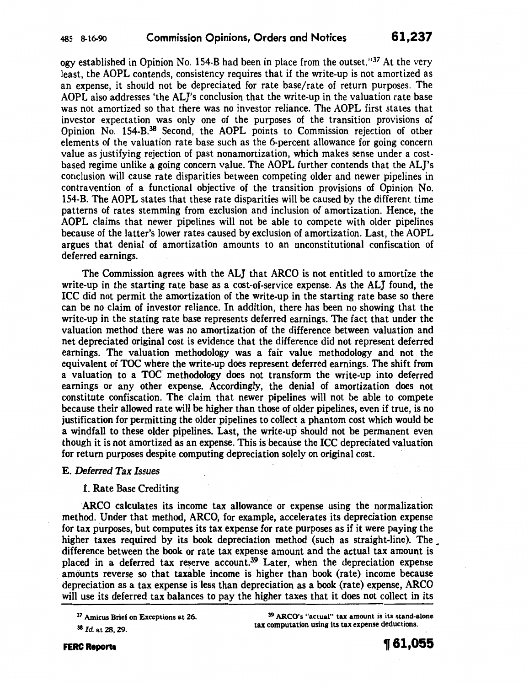ogy established in Opinion No. 154-B had been in place from the outset."37 At the very least, the AOPL contends, consistency requires that if the write-up is not amortized as an expense, it should not be depreciated for rate base/rate of return purposes. The AOPL also addresses 'the ALJ's conclusion that the write-up in the valuation rate base was not amortized so that there was no investor reliance. The AOPL first states that investor expectation was only one of the purposes of the transition provisions of Opinion No. 154-B.38 Second, the AOPL points to Commission rejection of other elements of the valuation rate base such as the 6-percent allowance for going concern value as justifying rejection of past nonamortization, which makes sense under a costbased regime unlike a going concern value. The AOPL further contends that the ALJ's conclusion will cause rate disparities between competing older and newer pipelines in contravention of a functional objective of the transition provisions of Opinion No. 154-B. The AOPL states that these rate disparities will be caused by the different time patterns of rates stemming from exclusion and inclusion of amortization. Hence, the AOPL claims that newer pipelines will not be able to compete with older pipelines because of the latter's lower rates caused by exclusion of amortization. Last, the AOPL argues that denial of amortization amounts to an unconstitutional confiscation of deferred earnings.

The Commission agrees with the ALJ that ARCO is not entitled to amortize the write-up in the starting rate base as a cost-of-service expense. As the ALJ found, the ICC did not permit the amortization of the write-up in the starting rate base so there can be no claim of investor reliance. In addition, there has been no showing that the write-up in the stating rate base represents deferred earnings. The fact that under the valuation method there was no amortization of the difference between valuation and net depreciated original cost is evidence that the difference did not represent deferred earnings. The valuation methodology was a fair value methodology and not the equivalent of TOC where the write-up does represent deferred earnings. The shift from a valuation to a TOC methodology does not transform the write-up into deferred earnings or any other expense. Accordingly, the denial of amortization does not constitute confiscation. The claim that newer pipelines will not be able to compete because their allowed rate will be higher than those of older pipelines, even if true, is no justification for permitting the older pipelines to collect a phantom cost which would be a windfall to these older pipelines. Last, the write-up should not be permanent even though it is not amortized as an expense. This is because the ICC depreciated valuation for return purposes despite computing depreciation solely on original cost.

### E. *Deferred Tax Issues*

### 1. Rate Base Crediting

ARCO calculates its income tax allowance or expense using the normalization method. Under that method, ARCO, for example, accelerates its depreciation expense for tax purposes, but computes its tax expense for rate purposes as if it were paying the higher taxes required by its book depreciation method (such as straight-line). The difference between the book or rate tax expense amount and the actual tax amount is placed in a deferred tax reserve account.39 Later, when the depreciation expense amounts reverse so that taxable income is higher than book (rate) income because depreciation as a tax expense is less than depreciation as a book (rate) expense, ARCO will use its deferred tax balances to pay the higher taxes that it does not collect in its

<sup>38</sup>*Id.* at 28, 29.

39 ARCO's "actual" tax amount is its stand-alone tax computation using its tax expense deductions.

<sup>37</sup> Amicus Brief on Exceptions at 26.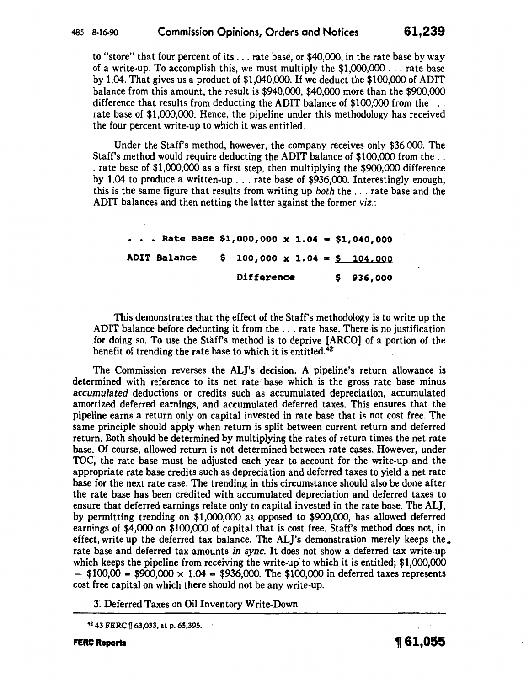to "store" that four percent of its ... rate base, or \$40,000, in the rate base by way of a write-up. To accomplish this, we must multiply the \$1,000,000 ... rate base by 1.04. That gives us a product of \$1,040,000. If we deduct the \$100,000 of ADIT balance from this amount, the result is \$940,000, \$40,000 more than the \$900,000 difference that results from deducting the ADIT balance of  $$100,000$  from the ... rate base of \$1,000,000. Hence, the pipeline under this methodology has received the four percent write-up to which it was entitled.

Under the Staff's method, however, the company receives only \$36,000. The Staff's method would require deducting the ADIT balance of \$100,000 from the .. . rate base of \$1,000,000 as a first step, then multiplying the \$900,000 difference by 1.04 to produce a written-up ... rate base of \$936,000. Interestingly enough, this is the same figure that results from writing up *both* the ... rate base and the ADIT balances and then netting the latter against the former *viz.:* 

 $\cdot$  Rate Base \$1,000,000 x 1.04 = \$1,040,000 ADIT Balance \$ 100,000 x 1.04 = \$ 104,000 Difference \$ 936,000

This demonstrates that the effect of the Staff's methodology is to write up the ADIT balance before deducting it from the ... rate base. There is no justification for doing so. To use the Staff's method is to deprive [ARCO] of a portion of the benefit of trending the rate base to which it is entitled.4Z

The Commission reverses the ALJ's decision. A pipeline's return allowance is determined with reference to its net rate· base which is the gross rate base minus *accumulated* deductions or credits such as accumulated depreciation, accumulated amortized deferred earnings, and accumulated deferred taxes. This ensures that the pipeline earns a return only on capital invested in rate base that is not cost free. The same principle should apply when return is split between current return and deferred return. Both should be determined by multiplying the rates of return times the net rate base. Of course, allowed return is not determined between rate cases. However, under TOC; the rate base must be adjusted each year to account for the write-up and the appropriate rate base credits such as depreciation and deferred taxes to yield a net rate base for the next rate case. The trending in this circumstance should also be done after the rate base has been credited with accumulated depreciation and deferred taxes to ensure that deferred earnings relate only to capital invested in the rate base. The ALJ, by permitting trending on \$1,000,000 as opposed to \$900,000, has allowed deferred earnings of \$4,000 on \$100,000 of capital that is cost free. Staff's method does not, in effect, write up the deferred tax balance. The ALJ's demonstration merely keeps the. rate base and deferred tax amounts *in sync.* It does not show a deferred tax write-up which keeps the pipeline from receiving the write-up to which it is entitled; \$1,000,000  $-$  \$100,00 = \$900,000  $\times$  1.04 = \$936,000. The \$100,000 in deferred taxes represents cost free capital on which there should not be any write-up.

3. Deferred Taxes on Oil Inventory Write-Down

42 43 FERC f 63,033, at p. 65,395.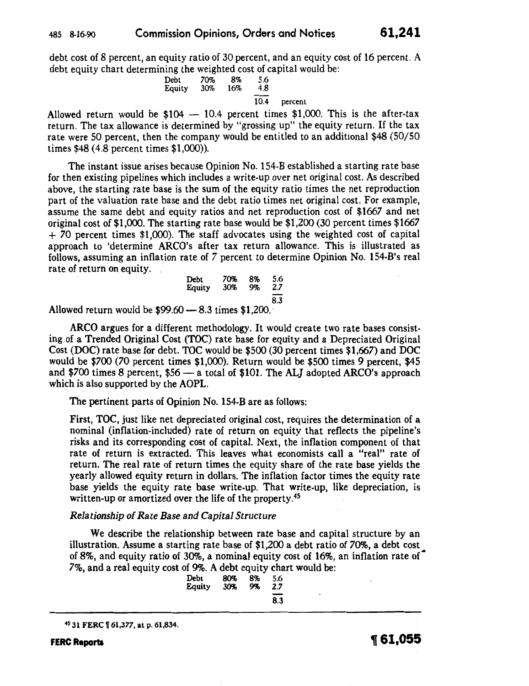debt cost of 8 percent, an equity ratio of 30 percent, and an equity cost of 16 percent. A debt equity chart determining the weighted cost of capital would be:

Debt 70% 8% 5.6 Equity 30% 16% 4.8 10.4 percent

Allowed return would be  $$104 - 10.4$  percent times  $$1,000$ . This is the after-tax return. The tax allowance is determined by "grossing up" the equity return. If the tax rate were 50 percent, then the company would be entitled to an additional \$48 (50/50 times \$48 (4.8 percent times \$1,000)).

The instant issue arises because Opinion No. 154-B established a starting rate base for then existing pipelines which includes a write-up over net original cost. As described above, the starting rate base is the sum of the equity ratio times the net reproduction part of the valuation rate base and the debt ratio times net original cost. For example, assume the same debt and equity ratios and net reproduction cost of \$1667 and net original cost of \$1,000. The starting rate base would be \$1,200 (30 percent times \$1667 + 70 percent times \$1,000). The staff advocates using the weighted cost of capital approach to 'determine ARCO's after tax return allowance. This is illustrated as follows, assuming an inflation rate of *7* percent to determine Opinion No. 154-B's real rate of return on equity.

| Debt   | 70% | 8% | 5.6 |
|--------|-----|----|-----|
| Equity | 30% | 9% | 2.7 |
|        |     |    | 8.3 |

Allowed return would be  $$99.60 - 8.3$  times  $$1,200.$ 

ARCO argues for a different methodology. It would create two rate bases consisting of a Trended Original Cost (TOC) rate base for equity and a Depreciated Original Cost (DOC) rate base for debt. TOC would be \$500 (30 percent times \$1,667) and DOC would be \$700 (70 percent times \$1,000). Return would be \$500 times 9 percent, \$45 and \$700 times 8 percent,  $$56 - a$  total of \$101. The ALJ adopted ARCO's approach which is also supported by the AOPL.

The pertinent parts of Opinion No. 154-B are as follows:

First, TOC, just like net depreciated original cost, requires the determination of a nominal (inflation-included) rate of return on equity that reflects the pipeline's risks and its corresponding cost of capital. Next, the inflation component of that rate of return is extracted. This leaves what economists call a "real" rate of return. The real rate of return times the equity share of the rate base yields the yearly allowed equity return in dollars. The inflation factor times the equity rate base yields the equity rate base write-up. That write-up, like depreciation, is written-up or amortized over the life of the property.<sup>45</sup>

### *Relationship of Rate Base and Capital Structure*

We describe the relationship between rate base and capital structure by an illustration. Assume a starting rate base of \$1,200 a debt ratio of 70%, a debt cost of 8%, and equity ratio of 30%, a nominal equity cost of 16%, an inflation rate of· 7%, and a real equity cost of 9%. A debt equity chart would be:

| Debt   | 80% | 8% | 5.6 |
|--------|-----|----|-----|
| Equity | 30% | 9% | 2.7 |
|        |     |    | 8.3 |

<sup>45 31</sup> FERC f 61,377, at p. 61,834.

**FERC Reports 1161,055**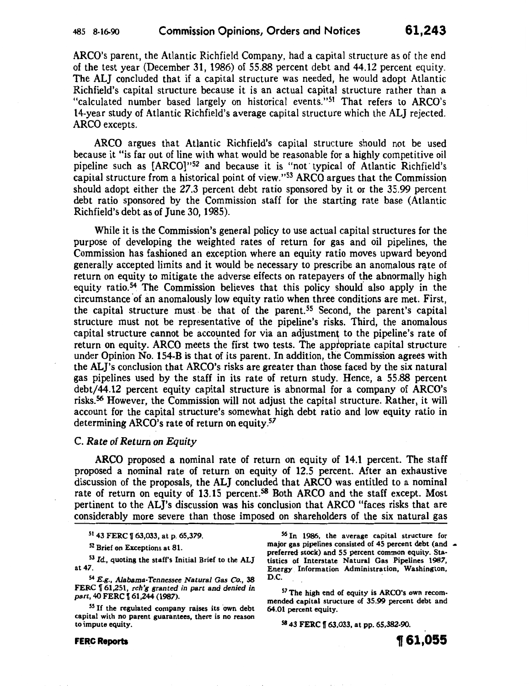## 485 8-16-90 Commission Opinions1 Orders and Notices **61,243**

ARCO's parent, the Atlantic Richfield Company, had a capital structure as of the end of the test year (December 31, 1986) of 55.88 percent debt and 44.12 percent equity. The ALJ concluded that if a capital structure was needed, he would adopt Atlantic Richfield's capital structure because it is an actual capital structure rather than a "calculated number based largely on historical events."51 That refers to ARCO's 14-year study of Atlantic Richfield's average capital structure which the ALJ rejected. ARCO excepts.

ARCO argues that Atlantic Richfield's capital structure should not be used because it "is far out of line with what would be reasonable for a highly competitive oil pipeline such as [ARC0]"52 and because it is "not· typical of Atlantic Richfield's capital structure from a historical point of view."53 ARCO argues that the Commission should adopt either the 27.3 percent debt ratio sponsored by it or the 35.99 percent debt ratio sponsored by the Commission staff for the starting rate base (Atlantic Richfield's debt as of June 30, 1985).

While it is the Commission's general policy to use actual capital structures for the purpose of developing the weighted rates of return for gas and oil pipelines, the Commission has fashioned an exception where an equity ratio moves upward beyond generally accepted limits and it would be necessary to prescribe an anomalous rate of return on equity to mitigate the adverse effects on ratepayers of the abnormally high equity ratio.54 The Commission believes that this policy should. also apply in the circumstance of an anomalously low equity ratio when three conditions are met. First, the capital structure must be that of the parent.<sup>55</sup> Second, the parent's capital structure must not be representative of the pipeline's risks. Third, the anomalous capital structure cannot be accounted for via an adjustment to the pipeline's rate of return on equity. ARCO meets the first two tests. The appropriate capital structure under Opinion No. 154-B is that of its parent. In addition, the Commission agrees with the ALJ's conclusion that ARCO's risks are greater than those faced by the six natural gas pipelines used by the staff in its rate of return study. Hence, a 55.88 percent debt/44.12 percent equity capital structure is abnormal for a company of ARCO's risks.56 However, the Commission will not adjust the capital structure. Rather, it will account for the capital structure's somewhat high debt ratio and low equity ratio in determining ARCO's rate of return on equity. *57* 

#### C. *Rate of Return on Equity*

ARCO proposed a nominal rate of return on equity of 14.1 percent. The staff proposed a nominal rate of return on equity of 12.5 percent. After an exhaustive discussion of the proposals, the ALJ concluded that ARCO was entitled to a nominal rate of return on equity of 13.15 percent.<sup>58</sup> Both ARCO and the staff except. Most pertinent to the ALJ's discussion was his conclusion that ARCO "faces risks that are considerably more severe than those imposed on shareholders of the six natural gas

51 43 FERC | 63,033, at p. 65,379.

52 Brief on Exceptions at 81.

<sup>53</sup>*Id.,* quoting the staff's Initial Brief to the ALJ at 47.

54 E.g., *Alabama-Tennessee Natural Gas* Co., 38 FERC f 61,251, *reh'g granted in part and denied in part,* 40 FERC f 61,244 (1987).

55 If the regulated company raises its own debt capital with no parent guarantees, there is no reason to impute equity.

**FERC Reports** 

,., I

56 In 1986, the average capital structure for major gas pipelines consisted of 45 percent debt (and  $\sim$ preferred stock) and 55 percent common equity. Sta· tistics of Interstate Natural Gas Pipelines 1987, Energy Information Administration, Washington, D.C.

*51* The high end of equity is ARCO's own recommended capital structure of 35.99 percent debt and 64.01 percent equity.

58 43 FERC 163,033, at pp. 65,382-90.

**1J 61,055**